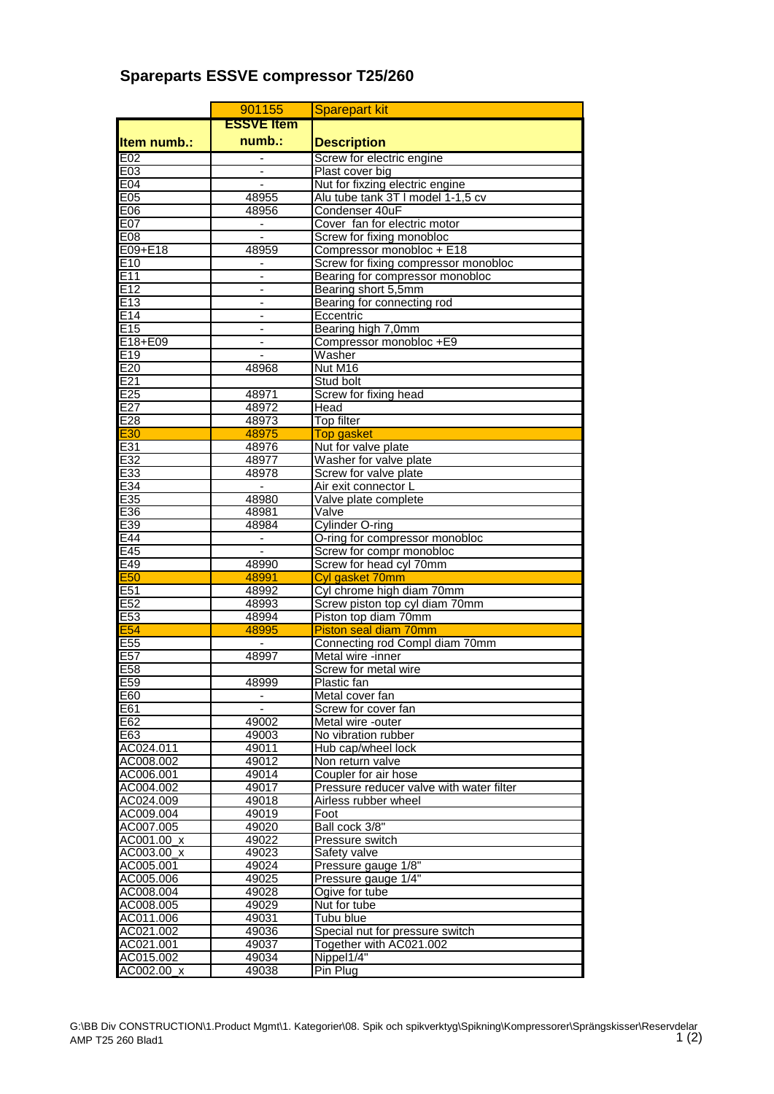## **Spareparts ESSVE compressor T25/260**

|                    | 901155                   | <b>Sparepart kit</b>                                       |
|--------------------|--------------------------|------------------------------------------------------------|
|                    | <b>ESSVE Item</b>        |                                                            |
| <b>Item numb.:</b> | $numb.$ :                | <b>Description</b>                                         |
| E02                | $\overline{\phantom{a}}$ | Screw for electric engine                                  |
| E03                |                          | Plast cover big                                            |
| E04                |                          | Nut for fixzing electric engine                            |
| E05                | 48955                    | Alu tube tank 3T I model 1-1,5 cv                          |
| E06                | 48956                    | Condenser 40uF                                             |
| E07                |                          | Cover fan for electric motor                               |
| E08                | $\blacksquare$           | Screw for fixing monobloc                                  |
| E09+E18            | 48959                    | Compressor monobloc + E18                                  |
| E <sub>10</sub>    |                          | Screw for fixing compressor monobloc                       |
| E11                | $\blacksquare$           | Bearing for compressor monobloc                            |
| E12<br>E13         |                          | Bearing short 5,5mm                                        |
| E14                | $\blacksquare$           | Bearing for connecting rod<br>Eccentric                    |
| E15                |                          | Bearing high 7,0mm                                         |
| E18+E09            |                          | Compressor monobloc +E9                                    |
| E19                | $\overline{a}$           | Washer                                                     |
| E20                | 48968                    | Nut M16                                                    |
| E21                |                          | Stud bolt                                                  |
| E <sub>25</sub>    | 48971                    | Screw for fixing head                                      |
| E27                | 48972                    | Head                                                       |
| E28                | 48973                    | <b>Top filter</b>                                          |
| E30                | 48975                    | <b>Top gasket</b>                                          |
| E31                | 48976                    | Nut for valve plate                                        |
| E32                | 48977                    | Washer for valve plate                                     |
| E33                | 48978                    | Screw for valve plate                                      |
| E34                |                          | Air exit connector L                                       |
| E35                | 48980                    | Valve plate complete                                       |
| E36                | 48981                    | Valve                                                      |
| E39                | 48984                    | Cylinder O-ring                                            |
| E44<br>E45         |                          | O-ring for compressor monobloc<br>Screw for compr monobloc |
| E49                | 48990                    | Screw for head cyl 70mm                                    |
| <b>E50</b>         | 48991                    | Cyl gasket 70mm                                            |
| E <sub>51</sub>    | 48992                    | Cyl chrome high diam 70mm                                  |
| E <sub>52</sub>    | 48993                    | Screw piston top cyl diam 70mm                             |
| E53                | 48994                    | Piston top diam 70mm                                       |
| E <sub>54</sub>    | 48995                    | Piston seal diam 70mm                                      |
| E <sub>55</sub>    |                          | Connecting rod Compl diam 70mm                             |
| E <sub>57</sub>    | 48997                    | Metal wire -inner                                          |
| E58                |                          | Screw for metal wire                                       |
| E <sub>59</sub>    | 48999                    | Plastic fan                                                |
| E60                | $\overline{\phantom{a}}$ | Metal cover fan                                            |
| E61                |                          | Screw for cover fan                                        |
| E62<br>E63         | 49002                    | Metal wire -outer                                          |
| AC024.011          | 49003<br>49011           | No vibration rubber<br>Hub cap/wheel lock                  |
| AC008.002          | 49012                    | Non return valve                                           |
| AC006.001          | 49014                    | Coupler for air hose                                       |
| AC004.002          | 49017                    | Pressure reducer valve with water filter                   |
| AC024.009          | 49018                    | Airless rubber wheel                                       |
| AC009.004          | 49019                    | Foot                                                       |
| AC007.005          | 49020                    | Ball cock 3/8"                                             |
| AC001.00_x         | 49022                    | Pressure switch                                            |
| AC003.00_x         | 49023                    | Safety valve                                               |
| AC005.001          | 49024                    | Pressure gauge 1/8"                                        |
| AC005.006          | 49025                    | Pressure gauge 1/4"                                        |
| AC008.004          | 49028                    | Ogive for tube                                             |
| AC008.005          | 49029                    | Nut for tube                                               |
| AC011.006          | 49031                    | Tubu blue                                                  |
| AC021.002          | 49036                    | Special nut for pressure switch                            |
| AC021.001          | 49037                    | Together with AC021.002                                    |
| AC015.002          | 49034                    | Nippel1/4"<br>Pin Plug                                     |
| AC002.00_x         | 49038                    |                                                            |